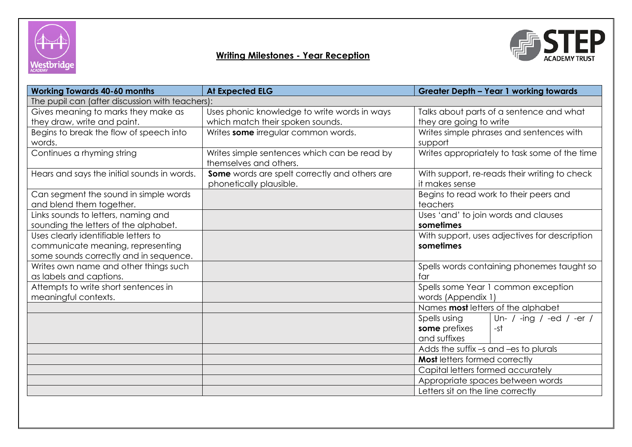





| <b>Working Towards 40-60 months</b>             | <b>At Expected ELG</b><br><b>Greater Depth - Year 1 working towards</b>  |                                                                 |  |  |  |  |  |
|-------------------------------------------------|--------------------------------------------------------------------------|-----------------------------------------------------------------|--|--|--|--|--|
| The pupil can (after discussion with teachers): |                                                                          |                                                                 |  |  |  |  |  |
| Gives meaning to marks they make as             | Uses phonic knowledge to write words in ways                             | Talks about parts of a sentence and what                        |  |  |  |  |  |
| they draw, write and paint.                     | which match their spoken sounds.                                         | they are going to write                                         |  |  |  |  |  |
| Begins to break the flow of speech into         | Writes some irregular common words.                                      | Writes simple phrases and sentences with                        |  |  |  |  |  |
| words.                                          |                                                                          | support                                                         |  |  |  |  |  |
| Continues a rhyming string                      | Writes simple sentences which can be read by<br>themselves and others.   | Writes appropriately to task some of the time                   |  |  |  |  |  |
| Hears and says the initial sounds in words.     | Some words are spelt correctly and others are<br>phonetically plausible. | With support, re-reads their writing to check<br>it makes sense |  |  |  |  |  |
| Can segment the sound in simple words           |                                                                          | Begins to read work to their peers and                          |  |  |  |  |  |
| and blend them together.                        |                                                                          | teachers                                                        |  |  |  |  |  |
| Links sounds to letters, naming and             |                                                                          | Uses 'and' to join words and clauses                            |  |  |  |  |  |
| sounding the letters of the alphabet.           |                                                                          | sometimes                                                       |  |  |  |  |  |
| Uses clearly identifiable letters to            |                                                                          | With support, uses adjectives for description                   |  |  |  |  |  |
| communicate meaning, representing               |                                                                          | sometimes                                                       |  |  |  |  |  |
| some sounds correctly and in sequence.          |                                                                          |                                                                 |  |  |  |  |  |
| Writes own name and other things such           |                                                                          | Spells words containing phonemes taught so                      |  |  |  |  |  |
| as labels and captions.                         |                                                                          | far                                                             |  |  |  |  |  |
| Attempts to write short sentences in            |                                                                          | Spells some Year 1 common exception                             |  |  |  |  |  |
| meaningful contexts.                            |                                                                          | words (Appendix 1)                                              |  |  |  |  |  |
|                                                 |                                                                          | Names most letters of the alphabet                              |  |  |  |  |  |
|                                                 |                                                                          | Spells using<br>Un- / -ing / -ed / -er /                        |  |  |  |  |  |
|                                                 |                                                                          | some prefixes<br>-st                                            |  |  |  |  |  |
|                                                 |                                                                          | and suffixes                                                    |  |  |  |  |  |
|                                                 |                                                                          | Adds the suffix -s and -es to plurals                           |  |  |  |  |  |
|                                                 |                                                                          | <b>Most</b> letters formed correctly                            |  |  |  |  |  |
|                                                 |                                                                          | Capital letters formed accurately                               |  |  |  |  |  |
|                                                 |                                                                          | Appropriate spaces between words                                |  |  |  |  |  |
|                                                 |                                                                          | Letters sit on the line correctly                               |  |  |  |  |  |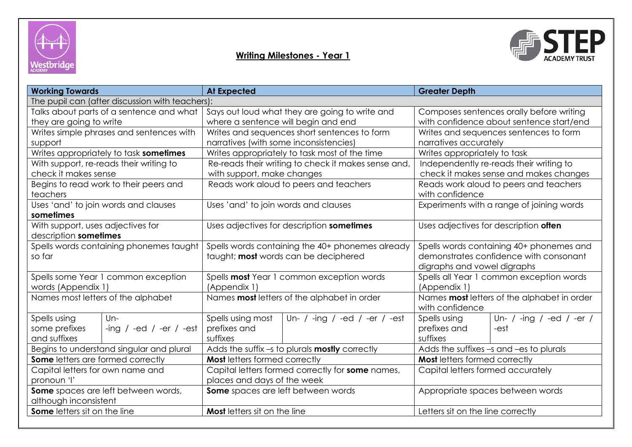



| <b>Working Towards</b>                          |                                          | <b>At Expected</b>                                    |                                                     | <b>Greater Depth</b>                        |                                           |  |  |
|-------------------------------------------------|------------------------------------------|-------------------------------------------------------|-----------------------------------------------------|---------------------------------------------|-------------------------------------------|--|--|
| The pupil can (after discussion with teachers): |                                          |                                                       |                                                     |                                             |                                           |  |  |
| Talks about parts of a sentence and what        |                                          |                                                       | Says out loud what they are going to write and      | Composes sentences orally before writing    |                                           |  |  |
| they are going to write                         |                                          | where a sentence will begin and end                   |                                                     | with confidence about sentence start/end    |                                           |  |  |
|                                                 | Writes simple phrases and sentences with |                                                       | Writes and sequences short sentences to form        | Writes and sequences sentences to form      |                                           |  |  |
| support                                         |                                          | narratives (with some inconsistencies)                |                                                     | narratives accurately                       |                                           |  |  |
|                                                 | Writes appropriately to task sometimes   |                                                       | Writes appropriately to task most of the time       | Writes appropriately to task                |                                           |  |  |
|                                                 | With support, re-reads their writing to  |                                                       | Re-reads their writing to check it makes sense and, | Independently re-reads their writing to     |                                           |  |  |
| check it makes sense                            |                                          | with support, make changes                            |                                                     |                                             | check it makes sense and makes changes    |  |  |
|                                                 | Begins to read work to their peers and   |                                                       | Reads work aloud to peers and teachers              |                                             | Reads work aloud to peers and teachers    |  |  |
| teachers                                        |                                          |                                                       |                                                     | with confidence                             |                                           |  |  |
|                                                 | Uses 'and' to join words and clauses     | Uses 'and' to join words and clauses                  |                                                     |                                             | Experiments with a range of joining words |  |  |
| sometimes                                       |                                          |                                                       |                                                     |                                             |                                           |  |  |
| With support, uses adjectives for               |                                          |                                                       | Uses adjectives for description sometimes           | Uses adjectives for description often       |                                           |  |  |
| description sometimes                           |                                          |                                                       |                                                     |                                             |                                           |  |  |
| Spells words containing phonemes taught         |                                          | Spells words containing the 40+ phonemes already      |                                                     | Spells words containing 40+ phonemes and    |                                           |  |  |
| so far                                          |                                          | taught; most words can be deciphered                  |                                                     |                                             | demonstrates confidence with consonant    |  |  |
|                                                 |                                          |                                                       |                                                     | digraphs and vowel digraphs                 |                                           |  |  |
|                                                 | Spells some Year 1 common exception      | Spells most Year 1 common exception words             |                                                     |                                             | Spells all Year 1 common exception words  |  |  |
| words (Appendix 1)                              |                                          | (Appendix 1)                                          |                                                     | (Appendix 1)                                |                                           |  |  |
|                                                 | Names most letters of the alphabet       | Names most letters of the alphabet in order           |                                                     | Names most letters of the alphabet in order |                                           |  |  |
|                                                 |                                          |                                                       |                                                     | with confidence                             |                                           |  |  |
| Spells using                                    | $Un-$                                    | Spells using most                                     | Un- / -ing / -ed / -er / -est                       | Spells using                                | Un- / -ing / -ed / -er /                  |  |  |
| some prefixes                                   | -ing $/$ -ed $/$ -er $/$ -est            | prefixes and                                          |                                                     | prefixes and                                | -est                                      |  |  |
| and suffixes                                    |                                          | suffixes                                              |                                                     | suffixes                                    |                                           |  |  |
| Begins to understand singular and plural        |                                          | Adds the suffix -s to plurals <b>mostly</b> correctly |                                                     | Adds the suffixes -s and -es to plurals     |                                           |  |  |
| <b>Some</b> letters are formed correctly        |                                          | <b>Most letters formed correctly</b>                  |                                                     | <b>Most letters formed correctly</b>        |                                           |  |  |
| Capital letters for own name and                |                                          | Capital letters formed correctly for some names,      |                                                     | Capital letters formed accurately           |                                           |  |  |
| pronoun 'l'                                     |                                          | places and days of the week                           |                                                     |                                             |                                           |  |  |
| Some spaces are left between words,             |                                          | Some spaces are left between words                    |                                                     | Appropriate spaces between words            |                                           |  |  |
| although inconsistent                           |                                          |                                                       |                                                     |                                             |                                           |  |  |
| <b>Some</b> letters sit on the line             |                                          | <b>Most</b> letters sit on the line                   |                                                     | Letters sit on the line correctly           |                                           |  |  |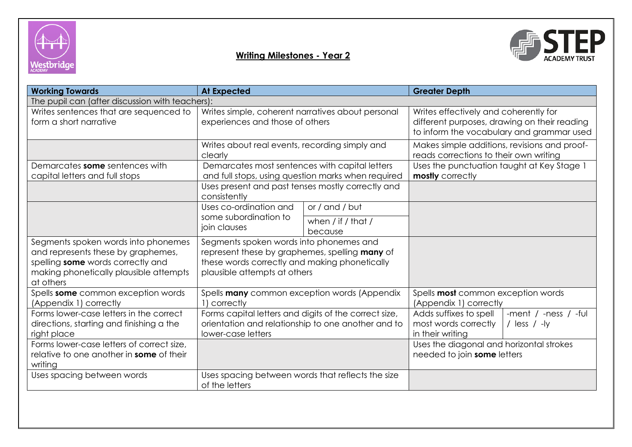



| <b>Working Towards</b>                                                                                                                                                | <b>At Expected</b>                                                                                                                                                         |                                                    | <b>Greater Depth</b>                                                                                                               |  |  |  |  |
|-----------------------------------------------------------------------------------------------------------------------------------------------------------------------|----------------------------------------------------------------------------------------------------------------------------------------------------------------------------|----------------------------------------------------|------------------------------------------------------------------------------------------------------------------------------------|--|--|--|--|
| The pupil can (after discussion with teachers):                                                                                                                       |                                                                                                                                                                            |                                                    |                                                                                                                                    |  |  |  |  |
| Writes sentences that are sequenced to<br>form a short narrative                                                                                                      | Writes simple, coherent narratives about personal<br>experiences and those of others                                                                                       |                                                    | Writes effectively and coherently for<br>different purposes, drawing on their reading<br>to inform the vocabulary and grammar used |  |  |  |  |
|                                                                                                                                                                       | Writes about real events, recording simply and<br>clearly                                                                                                                  |                                                    | Makes simple additions, revisions and proof-<br>reads corrections to their own writing                                             |  |  |  |  |
| Demarcates some sentences with<br>capital letters and full stops                                                                                                      | Demarcates most sentences with capital letters                                                                                                                             | and full stops, using question marks when required | Uses the punctuation taught at Key Stage 1<br>mostly correctly                                                                     |  |  |  |  |
|                                                                                                                                                                       | Uses present and past tenses mostly correctly and<br>consistently                                                                                                          |                                                    |                                                                                                                                    |  |  |  |  |
|                                                                                                                                                                       | Uses co-ordination and<br>some subordination to<br>join clauses                                                                                                            | or / and / but                                     |                                                                                                                                    |  |  |  |  |
|                                                                                                                                                                       |                                                                                                                                                                            | when $/$ if $/$ that $/$<br>because                |                                                                                                                                    |  |  |  |  |
| Segments spoken words into phonemes<br>and represents these by graphemes,<br>spelling some words correctly and<br>making phonetically plausible attempts<br>at others | Segments spoken words into phonemes and<br>represent these by graphemes, spelling many of<br>these words correctly and making phonetically<br>plausible attempts at others |                                                    |                                                                                                                                    |  |  |  |  |
| Spells some common exception words<br>(Appendix 1) correctly                                                                                                          | Spells many common exception words (Appendix<br>1) correctly                                                                                                               |                                                    | Spells most common exception words<br>(Appendix 1) correctly                                                                       |  |  |  |  |
| Forms lower-case letters in the correct<br>directions, starting and finishing a the<br>right place                                                                    | Forms capital letters and digits of the correct size,<br>orientation and relationship to one another and to<br>lower-case letters                                          |                                                    | Adds suffixes to spell<br>-ment $/$ -ness $/$ -ful<br>most words correctly<br>/ $less$ / $-ly$<br>in their writing                 |  |  |  |  |
| Forms lower-case letters of correct size,<br>relative to one another in some of their<br>writing                                                                      |                                                                                                                                                                            |                                                    | Uses the diagonal and horizontal strokes<br>needed to join some letters                                                            |  |  |  |  |
| Uses spacing between words                                                                                                                                            | Uses spacing between words that reflects the size<br>of the letters                                                                                                        |                                                    |                                                                                                                                    |  |  |  |  |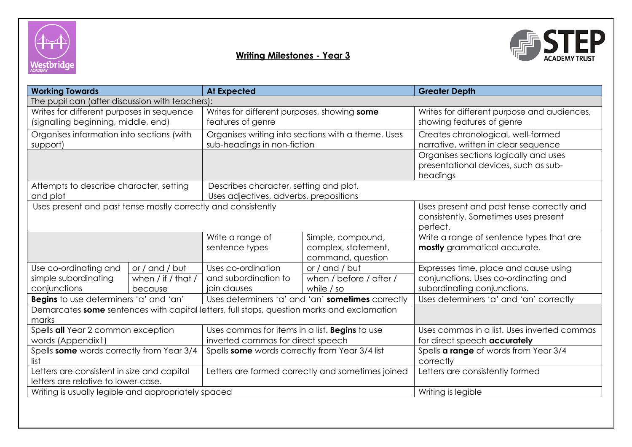



| <b>Working Towards</b><br><b>At Expected</b>                                                        |                                                 |                                                                                     |                                                               | <b>Greater Depth</b>                                                                                         |  |  |
|-----------------------------------------------------------------------------------------------------|-------------------------------------------------|-------------------------------------------------------------------------------------|---------------------------------------------------------------|--------------------------------------------------------------------------------------------------------------|--|--|
| The pupil can (after discussion with teachers):                                                     |                                                 |                                                                                     |                                                               |                                                                                                              |  |  |
| Writes for different purposes in sequence<br>(signalling beginning, middle, end)                    |                                                 | Writes for different purposes, showing some<br>features of genre                    |                                                               | Writes for different purpose and audiences,<br>showing features of genre                                     |  |  |
| Organises information into sections (with<br>support)                                               |                                                 | Organises writing into sections with a theme. Uses<br>sub-headings in non-fiction   |                                                               | Creates chronological, well-formed<br>narrative, written in clear sequence                                   |  |  |
|                                                                                                     |                                                 |                                                                                     |                                                               | Organises sections logically and uses<br>presentational devices, such as sub-<br>headings                    |  |  |
| Attempts to describe character, setting<br>and plot                                                 |                                                 | Describes character, setting and plot.<br>Uses adjectives, adverbs, prepositions    |                                                               |                                                                                                              |  |  |
| Uses present and past tense mostly correctly and consistently                                       |                                                 |                                                                                     |                                                               | Uses present and past tense correctly and<br>consistently. Sometimes uses present<br>perfect.                |  |  |
|                                                                                                     |                                                 | Write a range of<br>sentence types                                                  | Simple, compound,<br>complex, statement,<br>command, question | Write a range of sentence types that are<br>mostly grammatical accurate.                                     |  |  |
| Use co-ordinating and<br>simple subordinating<br>conjunctions                                       | or / and / but<br>when / if / that /<br>because | Uses co-ordination<br>and subordination to<br>join clauses                          | or / and / but<br>when / before / after /<br>while / so       | Expresses time, place and cause using<br>conjunctions. Uses co-ordinating and<br>subordinating conjunctions. |  |  |
| Begins to use determiners 'a' and 'an'                                                              |                                                 | Uses determiners 'a' and 'an' sometimes correctly                                   |                                                               | Uses determiners 'a' and 'an' correctly                                                                      |  |  |
| Demarcates some sentences with capital letters, full stops, question marks and exclamation<br>marks |                                                 |                                                                                     |                                                               |                                                                                                              |  |  |
| Spells all Year 2 common exception<br>words (Appendix1)                                             |                                                 | Uses commas for items in a list. Begins to use<br>inverted commas for direct speech |                                                               | Uses commas in a list. Uses inverted commas<br>for direct speech accurately                                  |  |  |
| Spells some words correctly from Year 3/4<br>list                                                   |                                                 | Spells some words correctly from Year 3/4 list                                      |                                                               | Spells <b>a range</b> of words from Year 3/4<br>correctly                                                    |  |  |
| Letters are consistent in size and capital<br>letters are relative to lower-case.                   |                                                 | Letters are formed correctly and sometimes joined                                   |                                                               | Letters are consistently formed                                                                              |  |  |
| Writing is usually legible and appropriately spaced                                                 |                                                 |                                                                                     |                                                               | Writing is legible                                                                                           |  |  |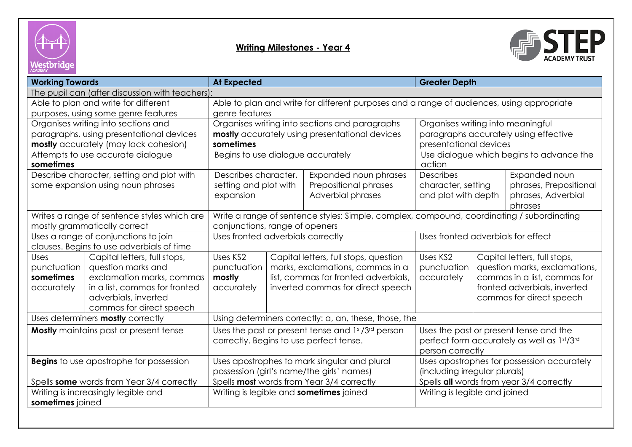



| <b>Working Towards</b>                                                            |                                                                                           | <b>At Expected</b>                                                                        |  |                                                | <b>Greater Depth</b>                       |                               |                              |
|-----------------------------------------------------------------------------------|-------------------------------------------------------------------------------------------|-------------------------------------------------------------------------------------------|--|------------------------------------------------|--------------------------------------------|-------------------------------|------------------------------|
| The pupil can (after discussion with teachers):                                   |                                                                                           |                                                                                           |  |                                                |                                            |                               |                              |
| Able to plan and write for different                                              | Able to plan and write for different purposes and a range of audiences, using appropriate |                                                                                           |  |                                                |                                            |                               |                              |
|                                                                                   | purposes, using some genre features                                                       | genre features                                                                            |  |                                                |                                            |                               |                              |
|                                                                                   | Organises writing into sections and                                                       |                                                                                           |  | Organises writing into sections and paragraphs | Organises writing into meaningful          |                               |                              |
|                                                                                   | paragraphs, using presentational devices                                                  |                                                                                           |  | mostly accurately using presentational devices | paragraphs accurately using effective      |                               |                              |
|                                                                                   | mostly accurately (may lack cohesion)                                                     | sometimes                                                                                 |  |                                                | presentational devices                     |                               |                              |
|                                                                                   | Attempts to use accurate dialogue                                                         | Begins to use dialogue accurately                                                         |  |                                                | Use dialogue which begins to advance the   |                               |                              |
| sometimes                                                                         |                                                                                           |                                                                                           |  |                                                | action                                     |                               |                              |
|                                                                                   | Describe character, setting and plot with                                                 | Describes character,                                                                      |  | Expanded noun phrases                          | Describes                                  |                               | Expanded noun                |
|                                                                                   | some expansion using noun phrases                                                         | setting and plot with                                                                     |  | Prepositional phrases                          | character, setting                         |                               | phrases, Prepositional       |
|                                                                                   |                                                                                           | expansion                                                                                 |  | Adverbial phrases                              | and plot with depth                        |                               | phrases, Adverbial           |
|                                                                                   |                                                                                           |                                                                                           |  |                                                | phrases                                    |                               |                              |
| Writes a range of sentence styles which are<br>mostly grammatically correct       |                                                                                           | Write a range of sentence styles: Simple, complex, compound, coordinating / subordinating |  |                                                |                                            |                               |                              |
|                                                                                   |                                                                                           | conjunctions, range of openers                                                            |  |                                                | Uses fronted adverbials for effect         |                               |                              |
| Uses a range of conjunctions to join<br>clauses. Begins to use adverbials of time |                                                                                           | Uses fronted adverbials correctly                                                         |  |                                                |                                            |                               |                              |
| <b>Uses</b>                                                                       | Capital letters, full stops,                                                              | Uses KS2                                                                                  |  | Capital letters, full stops, question          | Uses KS2<br>Capital letters, full stops,   |                               |                              |
| punctuation                                                                       | question marks and                                                                        | punctuation                                                                               |  | marks, exclamations, commas in a               | punctuation                                | question marks, exclamations, |                              |
| sometimes                                                                         | exclamation marks, commas                                                                 | mostly                                                                                    |  | list, commas for fronted adverbials,           | accurately                                 |                               | commas in a list, commas for |
| accurately                                                                        | in a list, commas for fronted                                                             | accurately<br>inverted commas for direct speech                                           |  |                                                |                                            | fronted adverbials, inverted  |                              |
|                                                                                   | adverbials, inverted                                                                      |                                                                                           |  |                                                |                                            | commas for direct speech      |                              |
|                                                                                   | commas for direct speech                                                                  |                                                                                           |  |                                                |                                            |                               |                              |
| Uses determiners mostly correctly                                                 | Using determiners correctly: a, an, these, those, the                                     |                                                                                           |  |                                                |                                            |                               |                              |
|                                                                                   | <b>Mostly</b> maintains past or present tense                                             | Uses the past or present tense and 1st/3rd person                                         |  |                                                | Uses the past or present tense and the     |                               |                              |
|                                                                                   |                                                                                           | correctly. Begins to use perfect tense.                                                   |  | perfect form accurately as well as 1st/3rd     |                                            |                               |                              |
|                                                                                   |                                                                                           |                                                                                           |  |                                                | person correctly                           |                               |                              |
| <b>Begins</b> to use apostrophe for possession                                    |                                                                                           | Uses apostrophes to mark singular and plural                                              |  |                                                | Uses apostrophes for possession accurately |                               |                              |
|                                                                                   |                                                                                           | possession (girl's name/the girls' names)                                                 |  |                                                | (including irregular plurals)              |                               |                              |
| Spells some words from Year 3/4 correctly                                         |                                                                                           | Spells most words from Year 3/4 correctly                                                 |  |                                                | Spells all words from year 3/4 correctly   |                               |                              |
| Writing is increasingly legible and                                               |                                                                                           | Writing is legible and <b>sometimes</b> joined                                            |  | Writing is legible and joined                  |                                            |                               |                              |
| sometimes joined                                                                  |                                                                                           |                                                                                           |  |                                                |                                            |                               |                              |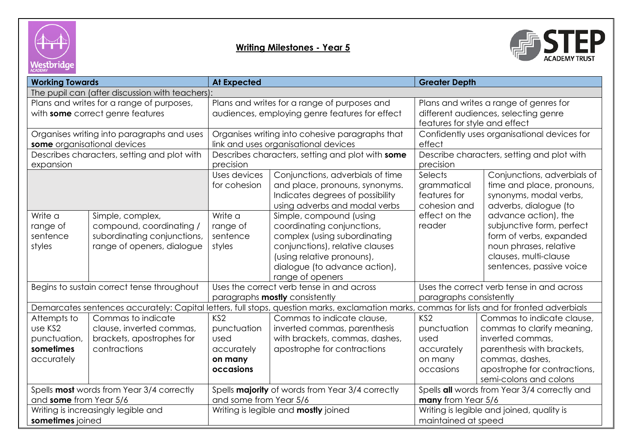



| <b>Working Towards</b>                                                                                                   |                                                                                                           | <b>At Expected</b>                                                                                                                                       |                                                                                                                                                                                                             | <b>Greater Depth</b>                                                                                             |                                                                                                                                                                                         |  |
|--------------------------------------------------------------------------------------------------------------------------|-----------------------------------------------------------------------------------------------------------|----------------------------------------------------------------------------------------------------------------------------------------------------------|-------------------------------------------------------------------------------------------------------------------------------------------------------------------------------------------------------------|------------------------------------------------------------------------------------------------------------------|-----------------------------------------------------------------------------------------------------------------------------------------------------------------------------------------|--|
| The pupil can (after discussion with teachers):                                                                          |                                                                                                           |                                                                                                                                                          |                                                                                                                                                                                                             |                                                                                                                  |                                                                                                                                                                                         |  |
| Plans and writes for a range of purposes,<br>with some correct genre features                                            |                                                                                                           | Plans and writes for a range of purposes and<br>audiences, employing genre features for effect                                                           |                                                                                                                                                                                                             | Plans and writes a range of genres for<br>different audiences, selecting genre<br>features for style and effect  |                                                                                                                                                                                         |  |
| Organises writing into paragraphs and uses<br>some organisational devices<br>Describes characters, setting and plot with |                                                                                                           | Organises writing into cohesive paragraphs that<br>link and uses organisational devices<br>Describes characters, setting and plot with some<br>precision |                                                                                                                                                                                                             | Confidently uses organisational devices for<br>effect<br>Describe characters, setting and plot with<br>precision |                                                                                                                                                                                         |  |
| expansion                                                                                                                |                                                                                                           | Uses devices<br>for cohesion                                                                                                                             | Conjunctions, adverbials of time<br>and place, pronouns, synonyms.<br>Indicates degrees of possibility<br>using adverbs and modal verbs                                                                     | Selects<br>grammatical<br>features for<br>cohesion and                                                           | Conjunctions, adverbials of<br>time and place, pronouns,<br>synonyms, modal verbs,<br>adverbs, dialogue (to                                                                             |  |
| Write a<br>range of<br>sentence<br>styles                                                                                | Simple, complex,<br>compound, coordinating /<br>subordinating conjunctions,<br>range of openers, dialogue | Write a<br>range of<br>sentence<br>styles                                                                                                                | Simple, compound (using<br>coordinating conjunctions,<br>complex (using subordinating<br>conjunctions), relative clauses<br>(using relative pronouns),<br>dialogue (to advance action),<br>range of openers | effect on the<br>reader                                                                                          | advance action), the<br>subjunctive form, perfect<br>form of verbs, expanded<br>noun phrases, relative<br>clauses, multi-clause<br>sentences, passive voice                             |  |
| Begins to sustain correct tense throughout                                                                               |                                                                                                           | Uses the correct verb tense in and across<br>paragraphs mostly consistently                                                                              |                                                                                                                                                                                                             | Uses the correct verb tense in and across<br>paragraphs consistently                                             |                                                                                                                                                                                         |  |
|                                                                                                                          |                                                                                                           | Demarcates sentences accurately: Capital letters, full stops, question marks, exclamation marks, commas for lists and for fronted adverbials             |                                                                                                                                                                                                             |                                                                                                                  |                                                                                                                                                                                         |  |
| Attempts to<br>use KS2<br>punctuation,<br>sometimes<br>accurately                                                        | Commas to indicate<br>clause, inverted commas,<br>brackets, apostrophes for<br>contractions               | KS <sub>2</sub><br>punctuation<br>used<br>accurately<br>on many<br>occasions                                                                             | Commas to indicate clause,<br>inverted commas, parenthesis<br>with brackets, commas, dashes,<br>apostrophe for contractions                                                                                 | KS <sub>2</sub><br>punctuation<br>used<br>accurately<br>on many<br>occasions                                     | Commas to indicate clause,<br>commas to clarify meaning,<br>inverted commas,<br>parenthesis with brackets,<br>commas, dashes,<br>apostrophe for contractions,<br>semi-colons and colons |  |
| and some from Year 5/6                                                                                                   | Spells most words from Year 3/4 correctly                                                                 | Spells majority of words from Year 3/4 correctly<br>and some from Year 5/6                                                                               |                                                                                                                                                                                                             | Spells all words from Year 3/4 correctly and<br>many from Year 5/6                                               |                                                                                                                                                                                         |  |
| Writing is increasingly legible and<br>sometimes joined                                                                  |                                                                                                           | Writing is legible and <b>mostly</b> joined                                                                                                              |                                                                                                                                                                                                             | Writing is legible and joined, quality is<br>maintained at speed                                                 |                                                                                                                                                                                         |  |